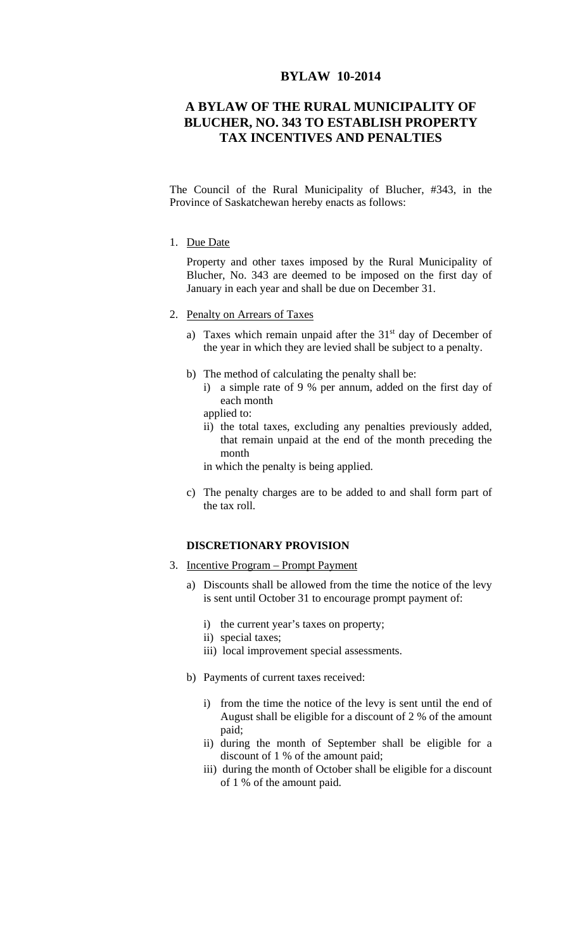## **BYLAW 10-2014**

## **A BYLAW OF THE RURAL MUNICIPALITY OF BLUCHER, NO. 343 TO ESTABLISH PROPERTY TAX INCENTIVES AND PENALTIES**

The Council of the Rural Municipality of Blucher, #343, in the Province of Saskatchewan hereby enacts as follows:

1. Due Date

Property and other taxes imposed by the Rural Municipality of Blucher, No. 343 are deemed to be imposed on the first day of January in each year and shall be due on December 31.

- 2. Penalty on Arrears of Taxes
	- a) Taxes which remain unpaid after the  $31<sup>st</sup>$  day of December of the year in which they are levied shall be subject to a penalty.
	- b) The method of calculating the penalty shall be:
		- i) a simple rate of 9 % per annum, added on the first day of each month
		- applied to:
		- ii) the total taxes, excluding any penalties previously added, that remain unpaid at the end of the month preceding the month

in which the penalty is being applied.

c) The penalty charges are to be added to and shall form part of the tax roll.

## **DISCRETIONARY PROVISION**

- 3. Incentive Program Prompt Payment
	- a) Discounts shall be allowed from the time the notice of the levy is sent until October 31 to encourage prompt payment of:
		- i) the current year's taxes on property;
		- ii) special taxes;
		- iii) local improvement special assessments.
	- b) Payments of current taxes received:
		- i) from the time the notice of the levy is sent until the end of August shall be eligible for a discount of 2 % of the amount paid;
		- ii) during the month of September shall be eligible for a discount of 1 % of the amount paid;
		- iii) during the month of October shall be eligible for a discount of 1 % of the amount paid.